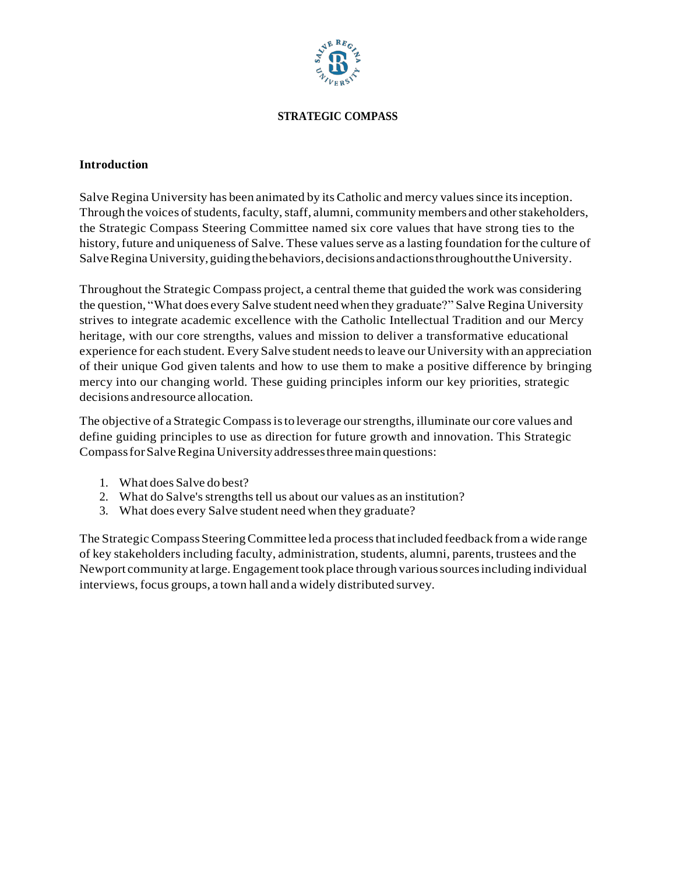

#### **STRATEGIC COMPASS**

#### **Introduction**

Salve Regina University has been animated by its Catholic and mercy values since its inception. Through the voices of students, faculty, staff, alumni, community members and other stakeholders, the Strategic Compass Steering Committee named six core values that have strong ties to the history, future and uniqueness of Salve. These values serve as a lasting foundation for the culture of SalveReginaUniversity, guidingthebehaviors, decisions andactionsthroughouttheUniversity.

Throughout the Strategic Compass project, a central theme that guided the work was considering the question, "What does every Salve student need when they graduate?" Salve Regina University strives to integrate academic excellence with the Catholic Intellectual Tradition and our Mercy heritage, with our core strengths, values and mission to deliver a transformative educational experience for each student. Every Salve student needsto leave our University with an appreciation of their unique God given talents and how to use them to make a positive difference by bringing mercy into our changing world. These guiding principles inform our key priorities, strategic decisions andresource allocation.

The objective of a Strategic Compassisto leverage ourstrengths, illuminate our core values and define guiding principles to use as direction for future growth and innovation. This Strategic CompassforSalveReginaUniversityaddressesthreemain questions:

- 1. What does Salve do best?
- 2. What do Salve's strengths tell us about our values as an institution?
- 3. What does every Salve student need when they graduate?

The Strategic Compass Steering Committee led a process that included feedback from a wide range of key stakeholdersincluding faculty, administration, students, alumni, parents, trustees and the Newport community atlarge.Engagement took place through varioussourcesincluding individual interviews, focus groups, a town hall and a widely distributed survey.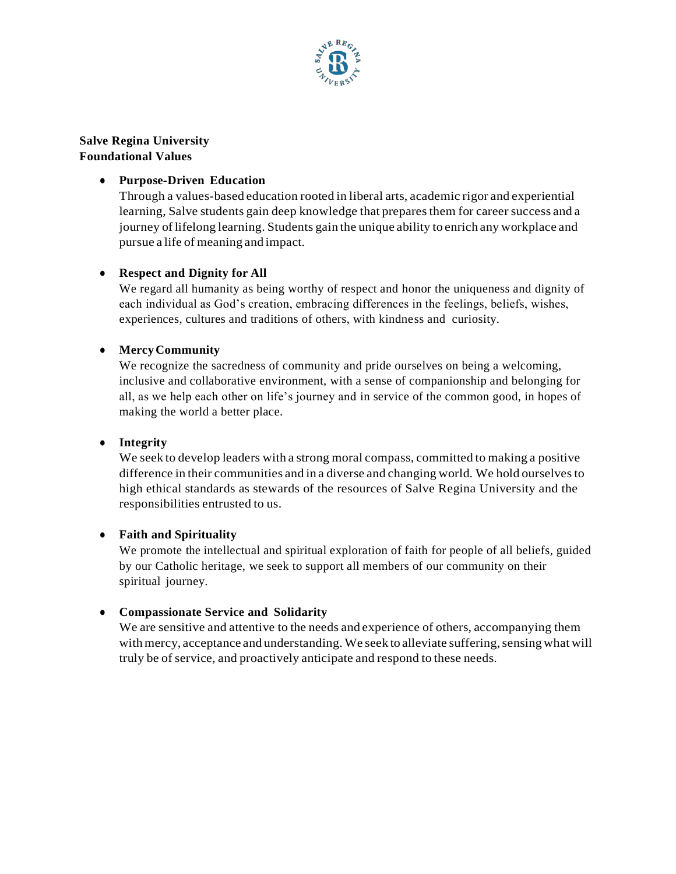

**Salve Regina University Foundational Values** 

## ● **Purpose-Driven Education**

Through a values-based education rooted in liberal arts, academic rigor and experiential learning, Salve students gain deep knowledge that prepares them for career success and a journey oflifelong learning. Students gain the unique ability to enrich any workplace and pursue a life of meaning and impact.

# ● **Respect and Dignity for All**

We regard all humanity as being worthy of respect and honor the uniqueness and dignity of each individual as God's creation, embracing differences in the feelings, beliefs, wishes, experiences, cultures and traditions of others, with kindness and curiosity.

## ● **MercyCommunity**

We recognize the sacredness of community and pride ourselves on being a welcoming, inclusive and collaborative environment, with a sense of companionship and belonging for all, as we help each other on life's journey and in service of the common good, in hopes of making the world a better place.

## ● **Integrity**

We seek to develop leaders with a strong moral compass, committed to making a positive difference in their communities and in a diverse and changing world. We hold ourselvesto high ethical standards as stewards of the resources of Salve Regina University and the responsibilities entrusted to us.

## ● **Faith and Spirituality**

We promote the intellectual and spiritual exploration of faith for people of all beliefs, guided by our Catholic heritage, we seek to support all members of our community on their spiritual journey.

## ● **Compassionate Service and Solidarity**

We are sensitive and attentive to the needs and experience of others, accompanying them with mercy, acceptance and understanding. We seek to alleviate suffering, sensing what will truly be of service, and proactively anticipate and respond to these needs.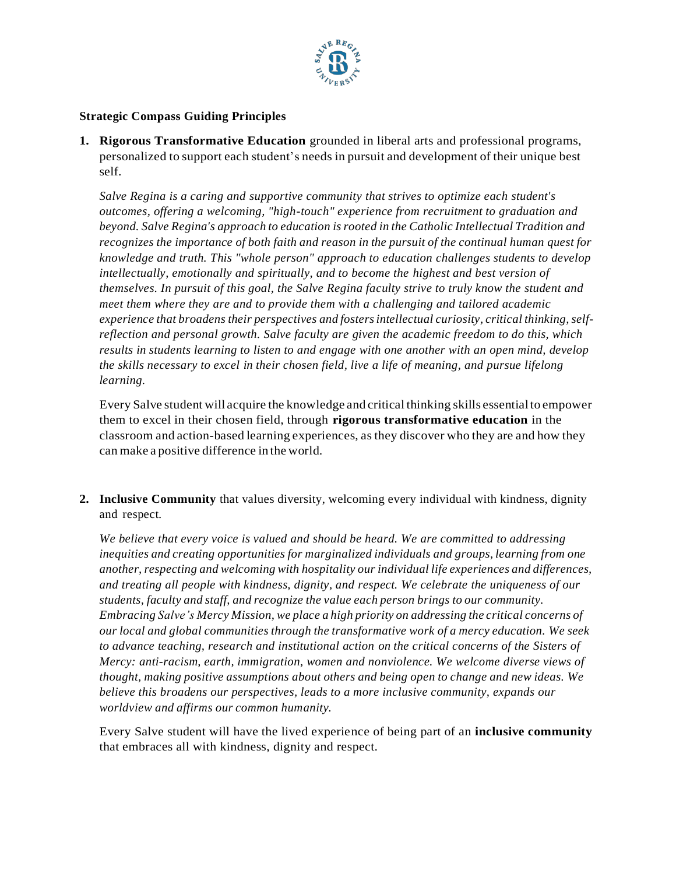

#### **Strategic Compass Guiding Principles**

**1. Rigorous Transformative Education** grounded in liberal arts and professional programs, personalized to support each student's needs in pursuit and development of their unique best self.

*Salve Regina is a caring and supportive community that strives to optimize each student's outcomes, offering a welcoming, "high-touch" experience from recruitment to graduation and beyond. Salve Regina's approach to education is rooted in the Catholic Intellectual Tradition and recognizes the importance of both faith and reason in the pursuit of the continual human quest for knowledge and truth. This "whole person" approach to education challenges students to develop intellectually, emotionally and spiritually, and to become the highest and best version of themselves. In pursuit of this goal, the Salve Regina faculty strive to truly know the student and meet them where they are and to provide them with a challenging and tailored academic experience that broadens their perspectives and fostersintellectual curiosity, critical thinking,selfreflection and personal growth. Salve faculty are given the academic freedom to do this, which results in students learning to listen to and engage with one another with an open mind, develop the skills necessary to excel in their chosen field, live a life of meaning, and pursue lifelong learning.*

Every Salve student will acquire the knowledge and critical thinking skills essentialto empower them to excel in their chosen field, through **rigorous transformative education** in the classroom and action-based learning experiences, asthey discover who they are and how they can make a positive difference in the world.

**2. Inclusive Community** that values diversity, welcoming every individual with kindness, dignity and respect.

*We believe that every voice is valued and should be heard. We are committed to addressing inequities and creating opportunities for marginalized individuals and groups, learning from one another, respecting and welcoming with hospitality our individual life experiences and differences, and treating all people with kindness, dignity, and respect. We celebrate the uniqueness of our students, faculty and staff, and recognize the value each person brings to our community. Embracing Salve's Mercy Mission, we place a high priority on addressing the critical concerns of our local and global communities through the transformative work of a mercy education. We seek to advance teaching, research and institutional action on the critical concerns of the Sisters of Mercy: anti-racism, earth, immigration, women and nonviolence. We welcome diverse views of thought, making positive assumptions about others and being open to change and new ideas. We believe this broadens our perspectives, leads to a more inclusive community, expands our worldview and affirms our common humanity.*

Every Salve student will have the lived experience of being part of an **inclusive community** that embraces all with kindness, dignity and respect.